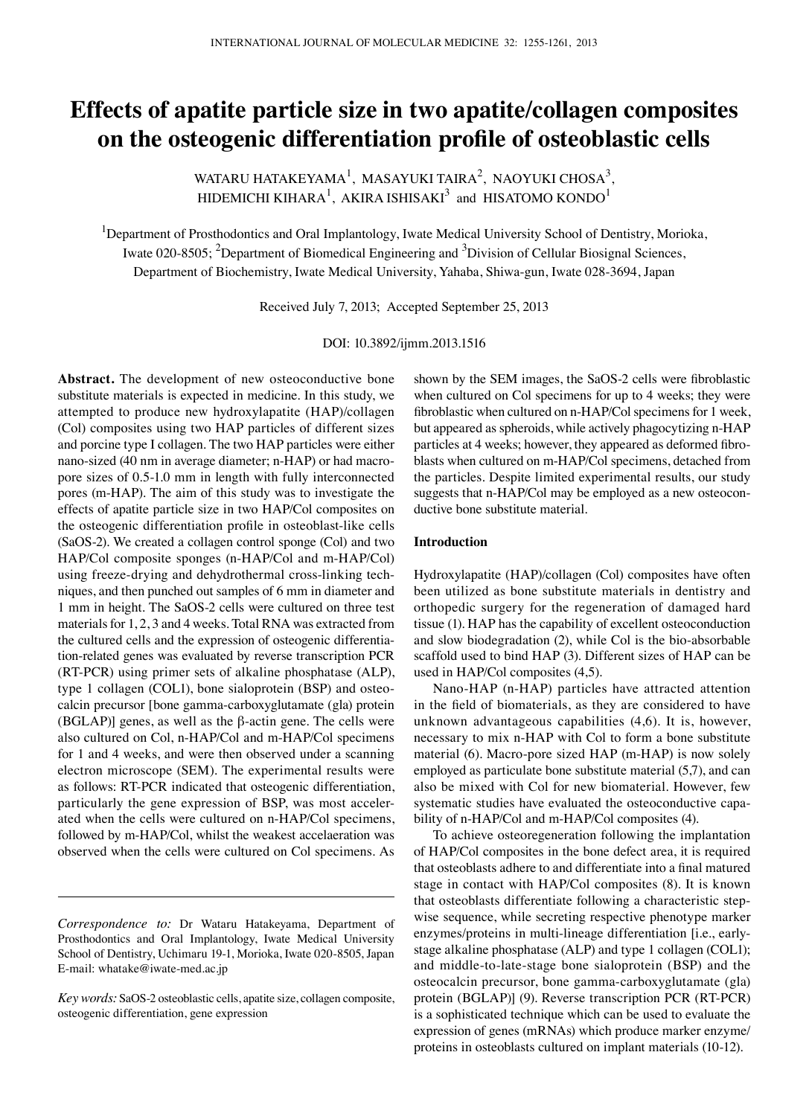# **Effects of apatite particle size in two apatite/collagen composites on the osteogenic differentiation profile of osteoblastic cells**

WATARU HATAKEYAMA<sup>1</sup>, MASAYUKI TAIRA<sup>2</sup>, NAOYUKI CHOSA<sup>3</sup>, HIDEMICHI KIHARA $^{\rm l}$ , AKIRA ISHISAKI $^{\rm 3}$  and HISATOMO KONDO $^{\rm l}$ 

<sup>1</sup>Department of Prosthodontics and Oral Implantology, Iwate Medical University School of Dentistry, Morioka, Iwate 020-8505; <sup>2</sup>Department of Biomedical Engineering and <sup>3</sup>Division of Cellular Biosignal Sciences, Department of Biochemistry, Iwate Medical University, Yahaba, Shiwa-gun, Iwate 028-3694, Japan

Received July 7, 2013; Accepted September 25, 2013

DOI: 10.3892/ijmm.2013.1516

**Abstract.** The development of new osteoconductive bone substitute materials is expected in medicine. In this study, we attempted to produce new hydroxylapatite (HAP)/collagen (Col) composites using two HAP particles of different sizes and porcine type I collagen. The two HAP particles were either nano-sized (40 nm in average diameter; n-HAP) or had macropore sizes of 0.5-1.0 mm in length with fully interconnected pores (m-HAP). The aim of this study was to investigate the effects of apatite particle size in two HAP/Col composites on the osteogenic differentiation profile in osteoblast-like cells (SaOS-2). We created a collagen control sponge (Col) and two HAP/Col composite sponges (n-HAP/Col and m-HAP/Col) using freeze-drying and dehydrothermal cross-linking techniques, and then punched out samples of 6 mm in diameter and 1 mm in height. The SaOS-2 cells were cultured on three test materials for 1, 2, 3 and 4 weeks. Total RNA was extracted from the cultured cells and the expression of osteogenic differentiation-related genes was evaluated by reverse transcription PCR (RT-PCR) using primer sets of alkaline phosphatase (ALP), type 1 collagen (COL1), bone sialoprotein (BSP) and osteocalcin precursor [bone gamma-carboxyglutamate (gla) protein (BGLAP)] genes, as well as the β-actin gene. The cells were also cultured on Col, n-HAP/Col and m-HAP/Col specimens for 1 and 4 weeks, and were then observed under a scanning electron microscope (SEM). The experimental results were as follows: RT-PCR indicated that osteogenic differentiation, particularly the gene expression of BSP, was most accelerated when the cells were cultured on n-HAP/Col specimens, followed by m-HAP/Col, whilst the weakest accelaeration was observed when the cells were cultured on Col specimens. As

shown by the SEM images, the SaOS-2 cells were fibroblastic when cultured on Col specimens for up to 4 weeks; they were fibroblastic when cultured on n-HAP/Col specimens for 1 week, but appeared as spheroids, while actively phagocytizing n-HAP particles at 4 weeks; however, they appeared as deformed fibroblasts when cultured on m-HAP/Col specimens, detached from the particles. Despite limited experimental results, our study suggests that n-HAP/Col may be employed as a new osteoconductive bone substitute material.

#### **Introduction**

Hydroxylapatite (HAP)/collagen (Col) composites have often been utilized as bone substitute materials in dentistry and orthopedic surgery for the regeneration of damaged hard tissue (1). HAP has the capability of excellent osteoconduction and slow biodegradation (2), while Col is the bio-absorbable scaffold used to bind HAP (3). Different sizes of HAP can be used in HAP/Col composites (4,5).

Nano-HAP (n-HAP) particles have attracted attention in the field of biomaterials, as they are considered to have unknown advantageous capabilities (4,6). It is, however, necessary to mix n-HAP with Col to form a bone substitute material (6). Macro-pore sized HAP (m-HAP) is now solely employed as particulate bone substitute material (5,7), and can also be mixed with Col for new biomaterial. However, few systematic studies have evaluated the osteoconductive capability of n-HAP/Col and m-HAP/Col composites (4).

To achieve osteoregeneration following the implantation of HAP/Col composites in the bone defect area, it is required that osteoblasts adhere to and differentiate into a final matured stage in contact with HAP/Col composites (8). It is known that osteoblasts differentiate following a characteristic stepwise sequence, while secreting respective phenotype marker enzymes/proteins in multi-lineage differentiation [i.e., earlystage alkaline phosphatase (ALP) and type 1 collagen (COL1); and middle-to-late-stage bone sialoprotein (BSP) and the osteocalcin precursor, bone gamma-carboxyglutamate (gla) protein (BGLAP)] (9). Reverse transcription PCR (RT-PCR) is a sophisticated technique which can be used to evaluate the expression of genes (mRNAs) which produce marker enzyme/ proteins in osteoblasts cultured on implant materials (10-12).

*Correspondence to:* Dr Wataru Hatakeyama, Department of Prosthodontics and Oral Implantology, Iwate Medical University School of Dentistry, Uchimaru 19-1, Morioka, Iwate 020-8505, Japan E-mail: whatake@iwate-med.ac.jp

*Key words:* SaOS-2 osteoblastic cells, apatite size, collagen composite, osteogenic differentiation, gene expression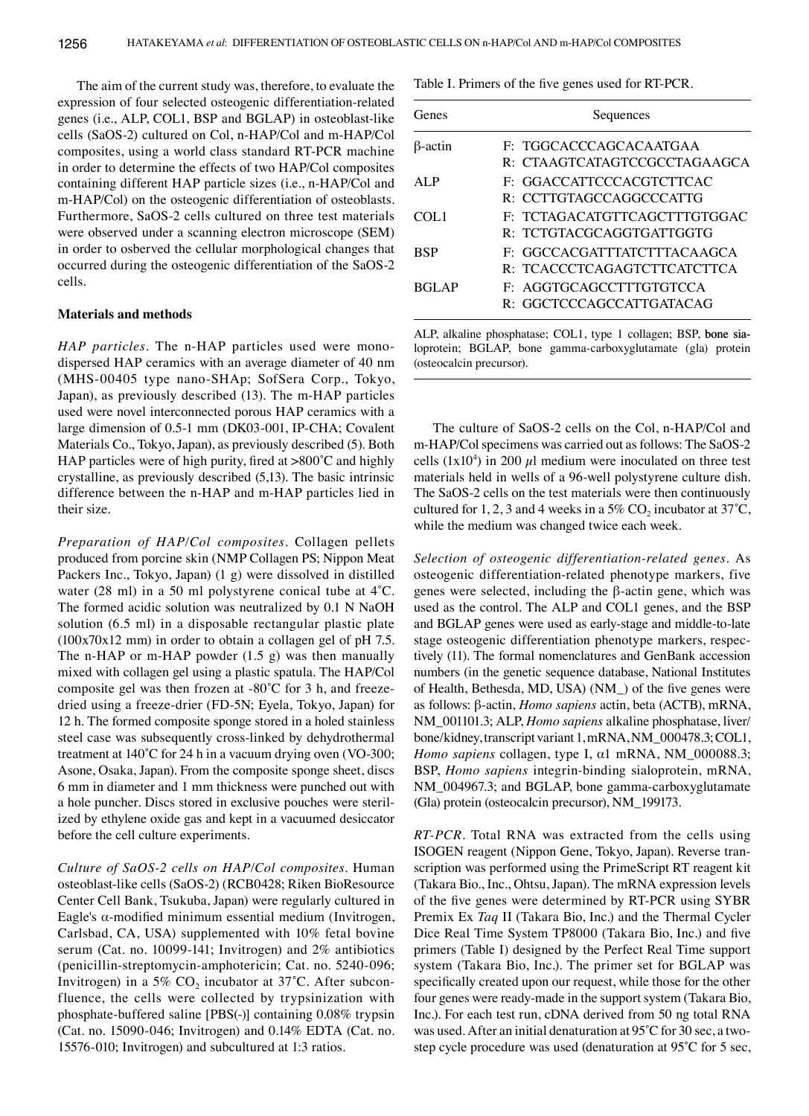The aim of the current study was, therefore, to evaluate the expression of four selected osteogenic differentiation-related genes (i.e., ALP, COL1, BSP and BGLAP) in osteoblast-like cells (SaOS-2) cultured on Col, n-HAP/Col and m-HAP/Col composites, using a world class standard RT-PCR machine in order to determine the effects of two HAP/Col composites containing different HAP particle sizes (i.e., n-HAP/Col and m-HAP/Col) on the osteogenic differentiation of osteoblasts. Furthermore, SaOS-2 cells cultured on three test materials were observed under a scanning electron microscope (SEM) in order to osberved the cellular morphological changes that occurred during the osteogenic differentiation of the SaOS-2 cells.

#### **Materials and methods**

*HAP particles.* The n-HAP particles used were monodispersed HAP ceramics with an average diameter of 40 nm (MHS-00405 type nano-SHAp; SofSera Corp., Tokyo, Japan), as previously described (13). The m-HAP particles used were novel interconnected porous HAP ceramics with a large dimension of 0.5-1 mm (DK03-001, IP-CHA; Covalent Materials Co., Tokyo, Japan), as previously described (5). Both HAP particles were of high purity, fired at >800˚C and highly crystalline, as previously described (5,13). The basic intrinsic difference between the n-HAP and m-HAP particles lied in their size.

*Preparation of HAP/Col composites.* Collagen pellets produced from porcine skin (NMP Collagen PS; Nippon Meat Packers Inc., Tokyo, Japan) (1 g) were dissolved in distilled water (28 ml) in a 50 ml polystyrene conical tube at 4˚C. The formed acidic solution was neutralized by 0.1 N NaOH solution (6.5 ml) in a disposable rectangular plastic plate (100x70x12 mm) in order to obtain a collagen gel of pH 7.5. The n-HAP or m-HAP powder (1.5 g) was then manually mixed with collagen gel using a plastic spatula. The HAP/Col composite gel was then frozen at -80˚C for 3 h, and freezedried using a freeze-drier (FD-5N; Eyela, Tokyo, Japan) for 12 h. The formed composite sponge stored in a holed stainless steel case was subsequently cross-linked by dehydrothermal treatment at 140˚C for 24 h in a vacuum drying oven (VO-300; Asone, Osaka, Japan). From the composite sponge sheet, discs 6 mm in diameter and 1 mm thickness were punched out with a hole puncher. Discs stored in exclusive pouches were sterilized by ethylene oxide gas and kept in a vacuumed desiccator before the cell culture experiments.

*Culture of SaOS-2 cells on HAP/Col composites.* Human osteoblast-like cells (SaOS-2) (RCB0428; Riken BioResource Center Cell Bank, Tsukuba, Japan) were regularly cultured in Eagle's α-modified minimum essential medium (Invitrogen, Carlsbad, CA, USA) supplemented with 10% fetal bovine serum (Cat. no. 10099-141; Invitrogen) and 2% antibiotics (penicillin-streptomycin-amphotericin; Cat. no. 5240-096; Invitrogen) in a 5%  $CO<sub>2</sub>$  incubator at 37°C. After subconfluence, the cells were collected by trypsinization with phosphate-buffered saline [PBS(-)] containing 0.08% trypsin (Cat. no. 15090-046; Invitrogen) and 0.14% EDTA (Cat. no. 15576-010; Invitrogen) and subcultured at 1:3 ratios.

Table I. Primers of the five genes used for RT-PCR.

| Genes          | Sequences                                                  |
|----------------|------------------------------------------------------------|
| $\beta$ -actin | F: TGGCACCCAGCACAATGAA<br>R: CTAAGTCATAGTCCGCCTAGAAGCA     |
| ALP            | F: GGACCATTCCCACGTCTTCAC<br>R: CCTTGTAGCCAGGCCCATTG        |
| COL1           | F: TCTAGACATGTTCAGCTTTGTGGAC<br>R: TCTGTACGCAGGTGATTGGTG   |
| <b>BSP</b>     | F: GGCCACGATTTATCTTTACAAGCA<br>R: TCACCCTCAGAGTCTTCATCTTCA |
| <b>BGLAP</b>   | F: AGGTGCAGCCTTTGTGTCCA<br>R: GGCTCCCAGCCATTGATACAG        |

ALP, alkaline phosphatase; COL1, type 1 collagen; BSP, bone sialoprotein; BGLAP, bone gamma-carboxyglutamate (gla) protein (osteocalcin precursor).

The culture of SaOS-2 cells on the Col, n-HAP/Col and m-HAP/Col specimens was carried out as follows: The SaOS-2 cells  $(1x10<sup>4</sup>)$  in 200  $\mu$ l medium were inoculated on three test materials held in wells of a 96-well polystyrene culture dish. The SaOS-2 cells on the test materials were then continuously cultured for 1, 2, 3 and 4 weeks in a 5%  $CO<sub>2</sub>$  incubator at 37°C, while the medium was changed twice each week.

*Selection of osteogenic differentiation-related genes.* As osteogenic differentiation-related phenotype markers, five genes were selected, including the β-actin gene, which was used as the control. The ALP and COL1 genes, and the BSP and BGLAP genes were used as early-stage and middle-to-late stage osteogenic differentiation phenotype markers, respectively (11). The formal nomenclatures and GenBank accession numbers (in the genetic sequence database, National Institutes of Health, Bethesda, MD, USA) (NM\_) of the five genes were as follows: β-actin, *Homo sapiens* actin, beta (ACTB), mRNA, NM 001101.3; ALP, *Homo sapiens* alkaline phosphatase, liver/ bone/kidney, transcript variant 1, mRNA, NM\_000478.3; COL1, *Homo sapiens* collagen, type I, α1 mRNA, NM\_000088.3; BSP, *Homo sapiens* integrin-binding sialoprotein, mRNA, NM\_004967.3; and BGLAP, bone gamma-carboxyglutamate (Gla) protein (osteocalcin precursor), NM\_199173.

*RT-PCR.* Total RNA was extracted from the cells using ISOGEN reagent (Nippon Gene, Tokyo, Japan). Reverse transcription was performed using the PrimeScript RT reagent kit (Takara Bio., Inc., Ohtsu, Japan). The mRNA expression levels of the five genes were determined by RT-PCR using SYBR Premix Ex *Taq* II (Takara Bio, Inc.) and the Thermal Cycler Dice Real Time System TP8000 (Takara Bio, Inc.) and five primers (Table I) designed by the Perfect Real Time support system (Takara Bio, Inc.). The primer set for BGLAP was specifically created upon our request, while those for the other four genes were ready-made in the support system (Takara Bio, Inc.). For each test run, cDNA derived from 50 ng total RNA was used. After an initial denaturation at 95˚C for 30 sec, a twostep cycle procedure was used (denaturation at 95˚C for 5 sec,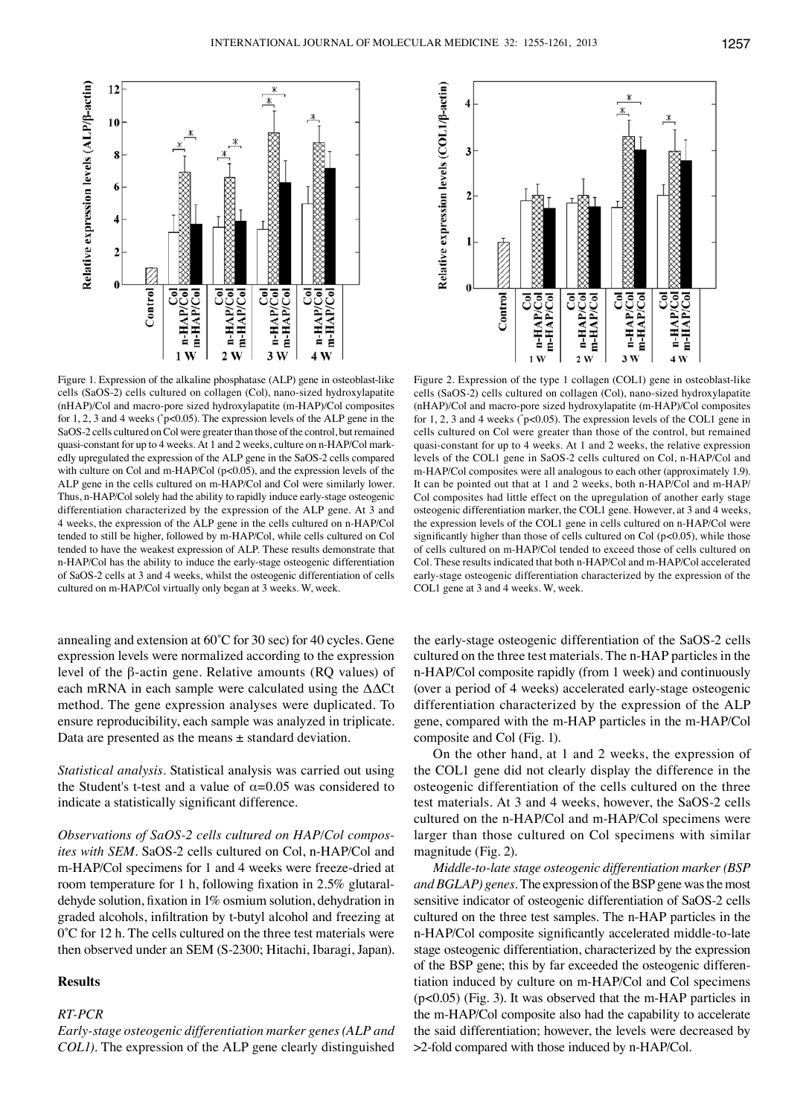

Figure 1. Expression of the alkaline phosphatase (ALP) gene in osteoblast-like cells (SaOS-2) cells cultured on collagen (Col), nano-sized hydroxylapatite (nHAP)/Col and macro-pore sized hydroxylapatite (m-HAP)/Col composites for 1, 2, 3 and 4 weeks (\* p<0.05). The expression levels of the ALP gene in the SaOS-2 cells cultured on Col were greater than those of the control, but remained quasi-constant for up to 4 weeks. At 1 and 2 weeks, culture on n-HAP/Col markedly upregulated the expression of the ALP gene in the SaOS-2 cells compared with culture on Col and m-HAP/Col (p<0.05), and the expression levels of the ALP gene in the cells cultured on m-HAP/Col and Col were similarly lower. Thus, n-HAP/Col solely had the ability to rapidly induce early-stage osteogenic differentiation characterized by the expression of the ALP gene. At 3 and 4 weeks, the expression of the ALP gene in the cells cultured on n-HAP/Col tended to still be higher, followed by m-HAP/Col, while cells cultured on Col tended to have the weakest expression of ALP. These results demonstrate that n-HAP/Col has the ability to induce the early-stage osteogenic differentiation of SaOS-2 cells at 3 and 4 weeks, whilst the osteogenic differentiation of cells cultured on m-HAP/Col virtually only began at 3 weeks. W, week.

annealing and extension at 60˚C for 30 sec) for 40 cycles. Gene expression levels were normalized according to the expression level of the β-actin gene. Relative amounts (RQ values) of each mRNA in each sample were calculated using the ΔΔCt method. The gene expression analyses were duplicated. To ensure reproducibility, each sample was analyzed in triplicate. Data are presented as the means ± standard deviation.

*Statistical analysis.* Statistical analysis was carried out using the Student's t-test and a value of  $\alpha$ =0.05 was considered to indicate a statistically significant difference.

*Observations of SaOS-2 cells cultured on HAP/Col composites with SEM.* SaOS-2 cells cultured on Col, n-HAP/Col and m-HAP/Col specimens for 1 and 4 weeks were freeze-dried at room temperature for 1 h, following fixation in 2.5% glutaraldehyde solution, fixation in 1% osmium solution, dehydration in graded alcohols, infiltration by t-butyl alcohol and freezing at 0˚C for 12 h. The cells cultured on the three test materials were then observed under an SEM (S-2300; Hitachi, Ibaragi, Japan).

## **Results**

## *RT-PCR*

*Early-stage osteogenic differentiation marker genes (ALP and COL1).* The expression of the ALP gene clearly distinguished



Figure 2. Expression of the type 1 collagen (COL1) gene in osteoblast-like cells (SaOS-2) cells cultured on collagen (Col), nano-sized hydroxylapatite (nHAP)/Col and macro-pore sized hydroxylapatite (m-HAP)/Col composites for 1, 2, 3 and 4 weeks (\* p<0.05). The expression levels of the COL1 gene in cells cultured on Col were greater than those of the control, but remained quasi-constant for up to 4 weeks. At 1 and 2 weeks, the relative expression levels of the COL1 gene in SaOS-2 cells cultured on Col, n-HAP/Col and m-HAP/Col composites were all analogous to each other (approximately 1.9). It can be pointed out that at 1 and 2 weeks, both n-HAP/Col and m-HAP/ Col composites had little effect on the upregulation of another early stage osteogenic differentiation marker, the COL1 gene. However, at 3 and 4 weeks, the expression levels of the COL1 gene in cells cultured on n-HAP/Col were significantly higher than those of cells cultured on Col (p<0.05), while those of cells cultured on m-HAP/Col tended to exceed those of cells cultured on Col. These results indicated that both n-HAP/Col and m-HAP/Col accelerated early-stage osteogenic differentiation characterized by the expression of the COL1 gene at 3 and 4 weeks. W, week.

the early-stage osteogenic differentiation of the SaOS-2 cells cultured on the three test materials. The n-HAP particles in the n-HAP/Col composite rapidly (from 1 week) and continuously (over a period of 4 weeks) accelerated early-stage osteogenic differentiation characterized by the expression of the ALP gene, compared with the m-HAP particles in the m-HAP/Col composite and Col (Fig. 1).

On the other hand, at 1 and 2 weeks, the expression of the COL1 gene did not clearly display the difference in the osteogenic differentiation of the cells cultured on the three test materials. At 3 and 4 weeks, however, the SaOS-2 cells cultured on the n-HAP/Col and m-HAP/Col specimens were larger than those cultured on Col specimens with similar magnitude (Fig. 2).

*Middle-to-late stage osteogenic differentiation marker (BSP and BGLAP) genes.* The expression of the BSP gene was the most sensitive indicator of osteogenic differentiation of SaOS-2 cells cultured on the three test samples. The n-HAP particles in the n-HAP/Col composite significantly accelerated middle-to-late stage osteogenic differentiation, characterized by the expression of the BSP gene; this by far exceeded the osteogenic differentiation induced by culture on m-HAP/Col and Col specimens (p<0.05) (Fig. 3). It was observed that the m-HAP particles in the m-HAP/Col composite also had the capability to accelerate the said differentiation; however, the levels were decreased by >2-fold compared with those induced by n-HAP/Col.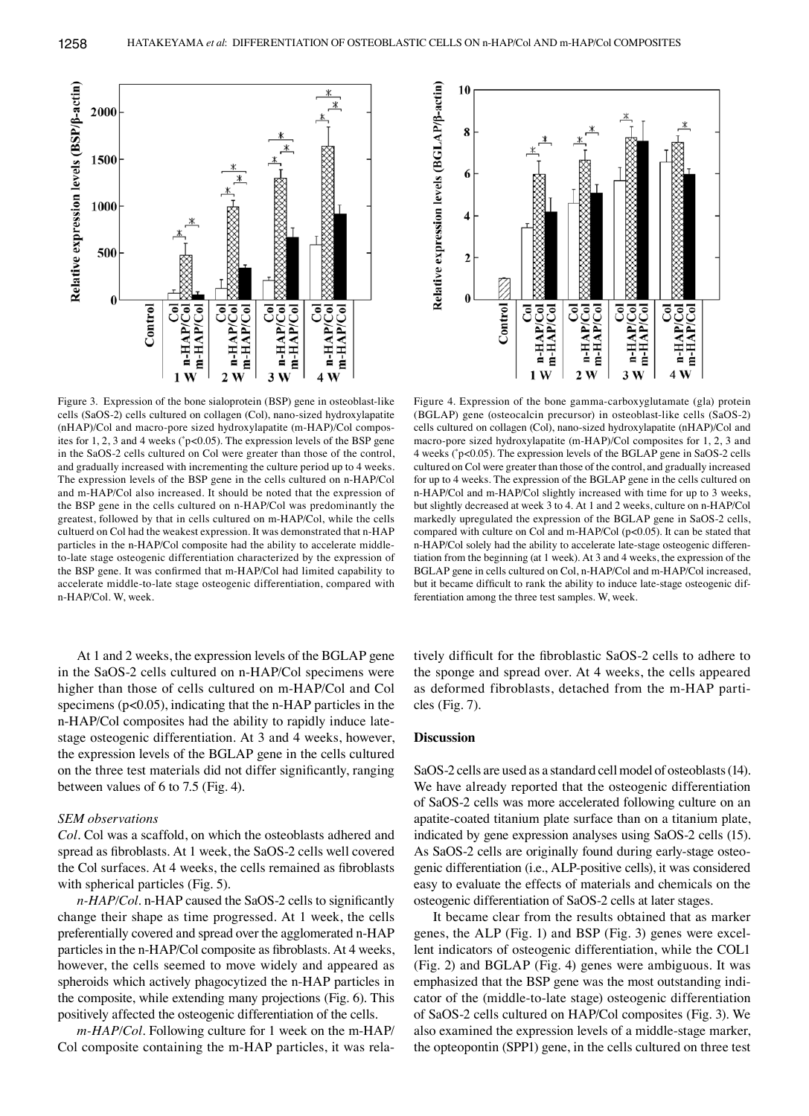

Figure 3. Expression of the bone sialoprotein (BSP) gene in osteoblast-like cells (SaOS-2) cells cultured on collagen (Col), nano-sized hydroxylapatite (nHAP)/Col and macro-pore sized hydroxylapatite (m-HAP)/Col composites for 1, 2, 3 and 4 weeks (\* p<0.05). The expression levels of the BSP gene in the SaOS-2 cells cultured on Col were greater than those of the control, and gradually increased with incrementing the culture period up to 4 weeks. The expression levels of the BSP gene in the cells cultured on n-HAP/Col and m-HAP/Col also increased. It should be noted that the expression of the BSP gene in the cells cultured on n-HAP/Col was predominantly the greatest, followed by that in cells cultured on m-HAP/Col, while the cells cultuerd on Col had the weakest expression. It was demonstrated that n-HAP particles in the n-HAP/Col composite had the ability to accelerate middleto-late stage osteogenic differentiation characterized by the expression of the BSP gene. It was confirmed that m-HAP/Col had limited capability to accelerate middle-to-late stage osteogenic differentiation, compared with n-HAP/Col. W, week.

At 1 and 2 weeks, the expression levels of the BGLAP gene in the SaOS-2 cells cultured on n-HAP/Col specimens were higher than those of cells cultured on m-HAP/Col and Col specimens ( $p<0.05$ ), indicating that the n-HAP particles in the n-HAP/Col composites had the ability to rapidly induce latestage osteogenic differentiation. At 3 and 4 weeks, however, the expression levels of the BGLAP gene in the cells cultured on the three test materials did not differ significantly, ranging between values of 6 to 7.5 (Fig. 4).

## *SEM observations*

*Col.* Col was a scaffold, on which the osteoblasts adhered and spread as fibroblasts. At 1 week, the SaOS-2 cells well covered the Col surfaces. At 4 weeks, the cells remained as fibroblasts with spherical particles (Fig. 5).

*n-HAP/Col.* n-HAP caused the SaOS-2 cells to significantly change their shape as time progressed. At 1 week, the cells preferentially covered and spread over the agglomerated n-HAP particles in the n-HAP/Col composite as fibroblasts. At 4 weeks, however, the cells seemed to move widely and appeared as spheroids which actively phagocytized the n-HAP particles in the composite, while extending many projections (Fig. 6). This positively affected the osteogenic differentiation of the cells.

*m-HAP/Col.* Following culture for 1 week on the m-HAP/ Col composite containing the m-HAP particles, it was rela-



Figure 4. Expression of the bone gamma-carboxyglutamate (gla) protein (BGLAP) gene (osteocalcin precursor) in osteoblast-like cells (SaOS-2) cells cultured on collagen (Col), nano-sized hydroxylapatite (nHAP)/Col and macro-pore sized hydroxylapatite (m-HAP)/Col composites for 1, 2, 3 and 4 weeks (\* p<0.05). The expression levels of the BGLAP gene in SaOS-2 cells cultured on Col were greater than those of the control, and gradually increased for up to 4 weeks. The expression of the BGLAP gene in the cells cultured on n-HAP/Col and m-HAP/Col slightly increased with time for up to 3 weeks, but slightly decreased at week 3 to 4. At 1 and 2 weeks, culture on n-HAP/Col markedly upregulated the expression of the BGLAP gene in SaOS-2 cells, compared with culture on Col and m-HAP/Col (p<0.05). It can be stated that n-HAP/Col solely had the ability to accelerate late-stage osteogenic differentiation from the beginning (at 1 week). At 3 and 4 weeks, the expression of the BGLAP gene in cells cultured on Col, n-HAP/Col and m-HAP/Col increased, but it became difficult to rank the ability to induce late-stage osteogenic differentiation among the three test samples. W, week.

tively difficult for the fibroblastic SaOS-2 cells to adhere to the sponge and spread over. At 4 weeks, the cells appeared as deformed fibroblasts, detached from the m-HAP particles (Fig. 7).

## **Discussion**

SaOS-2 cells are used as a standard cell model of osteoblasts (14). We have already reported that the osteogenic differentiation of SaOS-2 cells was more accelerated following culture on an apatite-coated titanium plate surface than on a titanium plate, indicated by gene expression analyses using SaOS-2 cells (15). As SaOS-2 cells are originally found during early-stage osteogenic differentiation (i.e., ALP-positive cells), it was considered easy to evaluate the effects of materials and chemicals on the osteogenic differentiation of SaOS-2 cells at later stages.

It became clear from the results obtained that as marker genes, the ALP (Fig. 1) and BSP (Fig. 3) genes were excellent indicators of osteogenic differentiation, while the COL1 (Fig. 2) and BGLAP (Fig. 4) genes were ambiguous. It was emphasized that the BSP gene was the most outstanding indicator of the (middle-to-late stage) osteogenic differentiation of SaOS-2 cells cultured on HAP/Col composites (Fig. 3). We also examined the expression levels of a middle-stage marker, the opteopontin (SPP1) gene, in the cells cultured on three test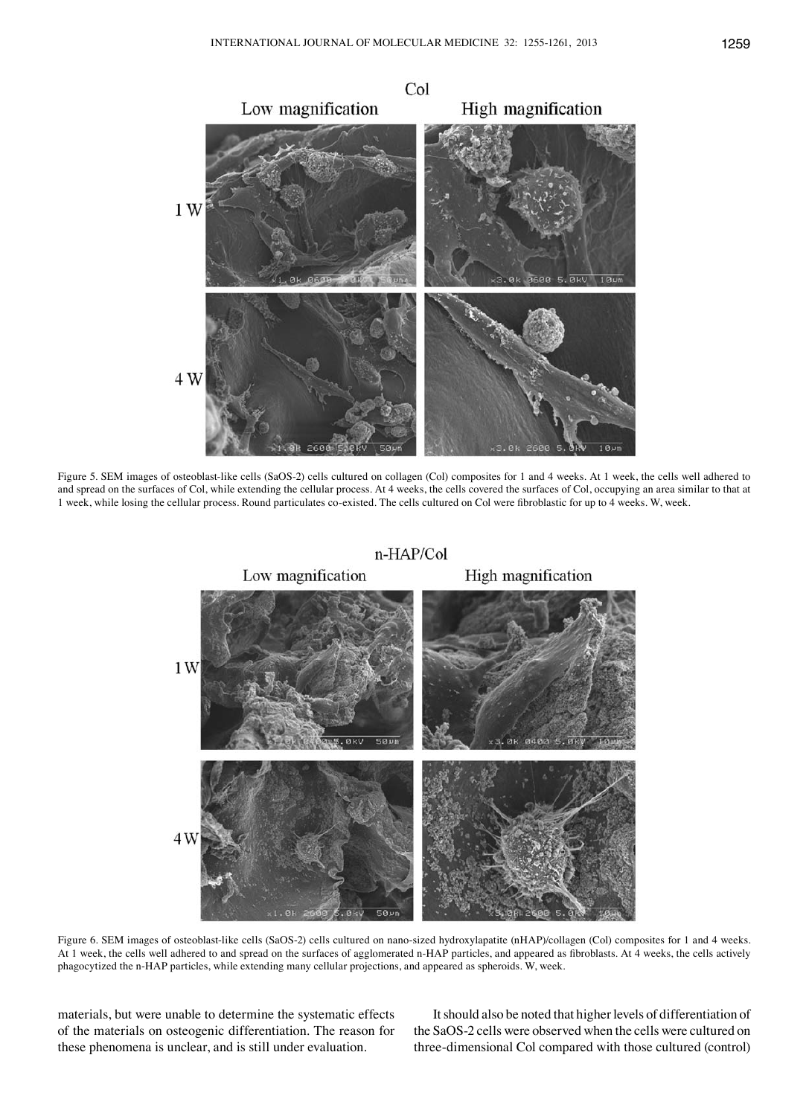

Figure 5. SEM images of osteoblast-like cells (SaOS-2) cells cultured on collagen (Col) composites for 1 and 4 weeks. At 1 week, the cells well adhered to and spread on the surfaces of Col, while extending the cellular process. At 4 weeks, the cells covered the surfaces of Col, occupying an area similar to that at 1 week, while losing the cellular process. Round particulates co-existed. The cells cultured on Col were fibroblastic for up to 4 weeks. W, week.



Figure 6. SEM images of osteoblast-like cells (SaOS-2) cells cultured on nano-sized hydroxylapatite (nHAP)/collagen (Col) composites for 1 and 4 weeks. At 1 week, the cells well adhered to and spread on the surfaces of agglomerated n-HAP particles, and appeared as fibroblasts. At 4 weeks, the cells actively phagocytized the n-HAP particles, while extending many cellular projections, and appeared as spheroids. W, week.

materials, but were unable to determine the systematic effects of the materials on osteogenic differentiation. The reason for these phenomena is unclear, and is still under evaluation.

It should also be noted that higher levels of differentiation of the SaOS-2 cells were observed when the cells were cultured on three-dimensional Col compared with those cultured (control)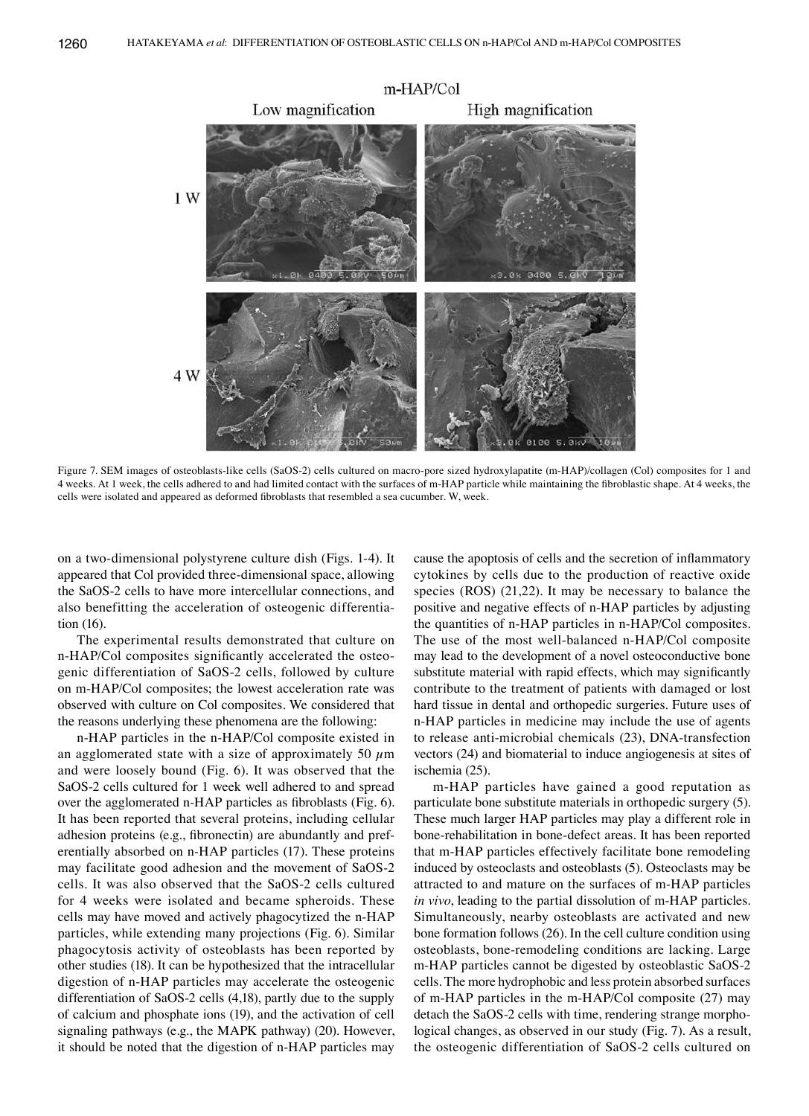

Figure 7. SEM images of osteoblasts-like cells (SaOS-2) cells cultured on macro-pore sized hydroxylapatite (m-HAP)/collagen (Col) composites for 1 and 4 weeks. At 1 week, the cells adhered to and had limited contact with the surfaces of m-HAP particle while maintaining the fibroblastic shape. At 4 weeks, the cells were isolated and appeared as deformed fibroblasts that resembled a sea cucumber. W, week.

on a two-dimensional polystyrene culture dish (Figs. 1-4). It appeared that Col provided three-dimensional space, allowing the SaOS-2 cells to have more intercellular connections, and also benefitting the acceleration of osteogenic differentiation (16).

The experimental results demonstrated that culture on n-HAP/Col composites significantly accelerated the osteogenic differentiation of SaOS-2 cells, followed by culture on m-HAP/Col composites; the lowest acceleration rate was observed with culture on Col composites. We considered that the reasons underlying these phenomena are the following:

n-HAP particles in the n-HAP/Col composite existed in an agglomerated state with a size of approximately 50  $\mu$ m and were loosely bound (Fig. 6). It was observed that the SaOS-2 cells cultured for 1 week well adhered to and spread over the agglomerated n-HAP particles as fibroblasts (Fig. 6). It has been reported that several proteins, including cellular adhesion proteins (e.g., fibronectin) are abundantly and preferentially absorbed on n-HAP particles (17). These proteins may facilitate good adhesion and the movement of SaOS-2 cells. It was also observed that the SaOS-2 cells cultured for 4 weeks were isolated and became spheroids. These cells may have moved and actively phagocytized the n-HAP particles, while extending many projections (Fig. 6). Similar phagocytosis activity of osteoblasts has been reported by other studies (18). It can be hypothesized that the intracellular digestion of n-HAP particles may accelerate the osteogenic differentiation of SaOS-2 cells (4,18), partly due to the supply of calcium and phosphate ions (19), and the activation of cell signaling pathways (e.g., the MAPK pathway) (20). However, it should be noted that the digestion of n-HAP particles may cause the apoptosis of cells and the secretion of inflammatory cytokines by cells due to the production of reactive oxide species (ROS) (21,22). It may be necessary to balance the positive and negative effects of n-HAP particles by adjusting the quantities of n-HAP particles in n-HAP/Col composites. The use of the most well-balanced n-HAP/Col composite may lead to the development of a novel osteoconductive bone substitute material with rapid effects, which may significantly contribute to the treatment of patients with damaged or lost hard tissue in dental and orthopedic surgeries. Future uses of n-HAP particles in medicine may include the use of agents to release anti-microbial chemicals (23), DNA-transfection vectors (24) and biomaterial to induce angiogenesis at sites of ischemia (25).

m-HAP particles have gained a good reputation as particulate bone substitute materials in orthopedic surgery (5). These much larger HAP particles may play a different role in bone-rehabilitation in bone-defect areas. It has been reported that m-HAP particles effectively facilitate bone remodeling induced by osteoclasts and osteoblasts (5). Osteoclasts may be attracted to and mature on the surfaces of m-HAP particles *in vivo*, leading to the partial dissolution of m-HAP particles. Simultaneously, nearby osteoblasts are activated and new bone formation follows (26). In the cell culture condition using osteoblasts, bone-remodeling conditions are lacking. Large m-HAP particles cannot be digested by osteoblastic SaOS-2 cells. The more hydrophobic and less protein absorbed surfaces of m-HAP particles in the m-HAP/Col composite (27) may detach the SaOS-2 cells with time, rendering strange morphological changes, as observed in our study (Fig. 7). As a result, the osteogenic differentiation of SaOS-2 cells cultured on